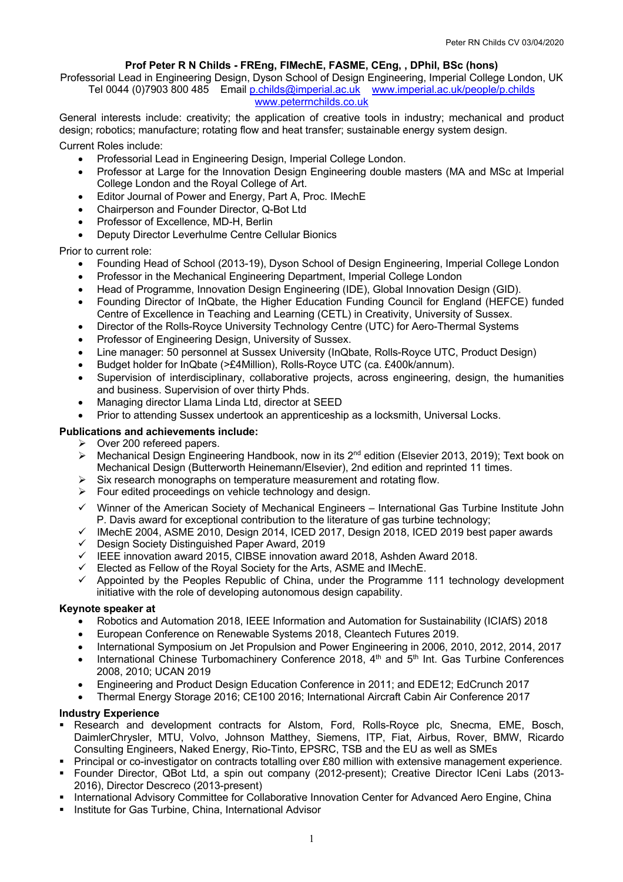## **Prof Peter R N Childs - FREng, FIMechE, FASME, CEng, , DPhil, BSc (hons)**

Professorial Lead in Engineering Design, Dyson School of Design Engineering, Imperial College London, UK Tel 0044 (0)7903 800 485 Email p.childs@imperial.ac.uk www.imperial.ac.uk/people/p.childs www.peterrnchilds.co.uk

General interests include: creativity; the application of creative tools in industry; mechanical and product design; robotics; manufacture; rotating flow and heat transfer; sustainable energy system design.

Current Roles include:

- Professorial Lead in Engineering Design, Imperial College London.
- Professor at Large for the Innovation Design Engineering double masters (MA and MSc at Imperial College London and the Royal College of Art.
- Editor Journal of Power and Energy, Part A, Proc. IMechE
- Chairperson and Founder Director, Q-Bot Ltd
- Professor of Excellence, MD-H, Berlin
- Deputy Director Leverhulme Centre Cellular Bionics

Prior to current role:

- Founding Head of School (2013-19), Dyson School of Design Engineering, Imperial College London
- Professor in the Mechanical Engineering Department, Imperial College London
- Head of Programme, Innovation Design Engineering (IDE), Global Innovation Design (GID).
- Founding Director of InQbate, the Higher Education Funding Council for England (HEFCE) funded Centre of Excellence in Teaching and Learning (CETL) in Creativity, University of Sussex.
- Director of the Rolls-Royce University Technology Centre (UTC) for Aero-Thermal Systems
- Professor of Engineering Design, University of Sussex.
- Line manager: 50 personnel at Sussex University (InQbate, Rolls-Royce UTC, Product Design)
- Budget holder for InQbate (>£4Million), Rolls-Royce UTC (ca. £400k/annum).
- Supervision of interdisciplinary, collaborative projects, across engineering, design, the humanities and business. Supervision of over thirty Phds.
- Managing director Llama Linda Ltd, director at SEED
- Prior to attending Sussex undertook an apprenticeship as a locksmith, Universal Locks.

## **Publications and achievements include:**

- $\triangleright$  Over 200 refereed papers.
- $\triangleright$  Mechanical Design Engineering Handbook, now in its 2<sup>nd</sup> edition (Elsevier 2013, 2019); Text book on Mechanical Design (Butterworth Heinemann/Elsevier), 2nd edition and reprinted 11 times.
- $\triangleright$  Six research monographs on temperature measurement and rotating flow.
- $\triangleright$  Four edited proceedings on vehicle technology and design.
- $\checkmark$  Winner of the American Society of Mechanical Engineers International Gas Turbine Institute John P. Davis award for exceptional contribution to the literature of gas turbine technology;
- $\checkmark$  IMechE 2004, ASME 2010, Design 2014, ICED 2017, Design 2018, ICED 2019 best paper awards
- $\checkmark$  Design Society Distinguished Paper Award, 2019
- $\checkmark$  IEEE innovation award 2015, CIBSE innovation award 2018, Ashden Award 2018.
- $\checkmark$  Elected as Fellow of the Royal Society for the Arts, ASME and IMechE.
- $\checkmark$  Appointed by the Peoples Republic of China, under the Programme 111 technology development initiative with the role of developing autonomous design capability.

## **Keynote speaker at**

- Robotics and Automation 2018, IEEE Information and Automation for Sustainability (ICIAfS) 2018
- European Conference on Renewable Systems 2018, Cleantech Futures 2019.
- International Symposium on Jet Propulsion and Power Engineering in 2006, 2010, 2012, 2014, 2017
- International Chinese Turbomachinery Conference 2018,  $4<sup>th</sup>$  and  $5<sup>th</sup>$  Int. Gas Turbine Conferences 2008, 2010; UCAN 2019
- Engineering and Product Design Education Conference in 2011; and EDE12; EdCrunch 2017
- Thermal Energy Storage 2016; CE100 2016; International Aircraft Cabin Air Conference 2017

#### **Industry Experience**

- § Research and development contracts for Alstom, Ford, Rolls-Royce plc, Snecma, EME, Bosch, DaimlerChrysler, MTU, Volvo, Johnson Matthey, Siemens, ITP, Fiat, Airbus, Rover, BMW, Ricardo Consulting Engineers, Naked Energy, Rio-Tinto, EPSRC, TSB and the EU as well as SMEs
- § Principal or co-investigator on contracts totalling over £80 million with extensive management experience.
- § Founder Director, QBot Ltd, a spin out company (2012-present); Creative Director ICeni Labs (2013- 2016), Director Descreco (2013-present)
- International Advisory Committee for Collaborative Innovation Center for Advanced Aero Engine, China
- Institute for Gas Turbine, China, International Advisor